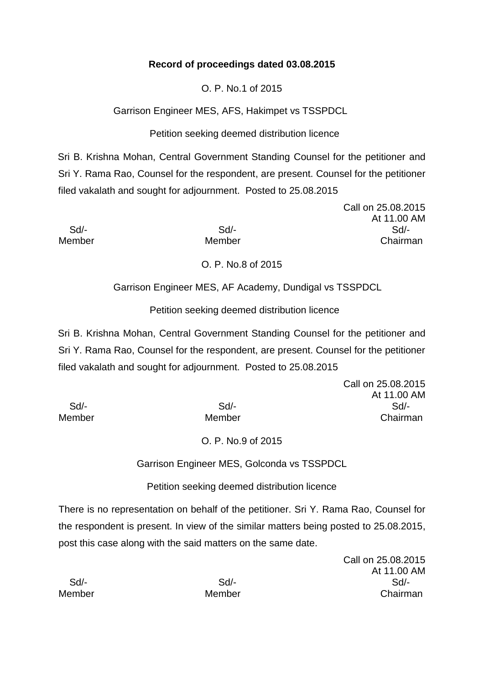### **Record of proceedings dated 03.08.2015**

O. P. No.1 of 2015

Garrison Engineer MES, AFS, Hakimpet vs TSSPDCL

Petition seeking deemed distribution licence

Sri B. Krishna Mohan, Central Government Standing Counsel for the petitioner and Sri Y. Rama Rao, Counsel for the respondent, are present. Counsel for the petitioner filed vakalath and sought for adjournment. Posted to 25.08.2015

Call on 25.08.2015 At 11.00 AM Sd/- Sd/- Sd/- Member Member Chairman

O. P. No.8 of 2015

Garrison Engineer MES, AF Academy, Dundigal vs TSSPDCL

Petition seeking deemed distribution licence

Sri B. Krishna Mohan, Central Government Standing Counsel for the petitioner and Sri Y. Rama Rao, Counsel for the respondent, are present. Counsel for the petitioner filed vakalath and sought for adjournment. Posted to 25.08.2015

Call on 25.08.2015 At 11.00 AM Sd/- Sd/- Sd/- Member Member Chairman

# O. P. No.9 of 2015

Garrison Engineer MES, Golconda vs TSSPDCL

Petition seeking deemed distribution licence

There is no representation on behalf of the petitioner. Sri Y. Rama Rao, Counsel for the respondent is present. In view of the similar matters being posted to 25.08.2015, post this case along with the said matters on the same date.

> Call on 25.08.2015 At 11.00 AM

|        |        | ,        |
|--------|--------|----------|
| Sd     | $Sd$ - | Sd/-     |
| Member | Member | Chairman |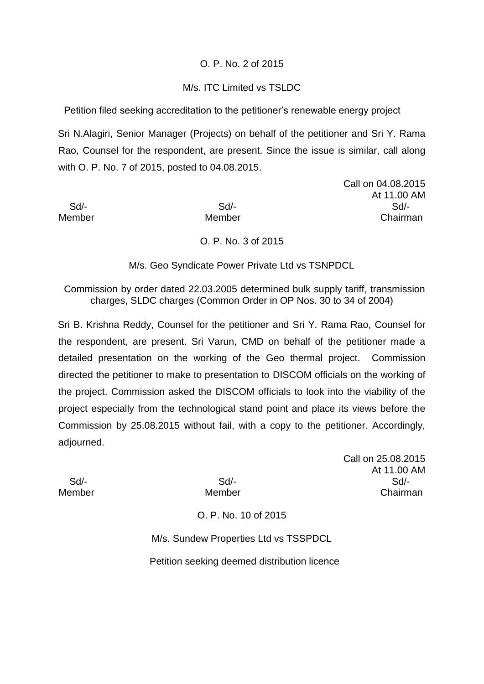### O. P. No. 2 of 2015

#### M/s. ITC Limited vs TSLDC

Petition filed seeking accreditation to the petitioner's renewable energy project

Sri N.Alagiri, Senior Manager (Projects) on behalf of the petitioner and Sri Y. Rama Rao, Counsel for the respondent, are present. Since the issue is similar, call along with O. P. No. 7 of 2015, posted to 04.08.2015.

Call on 04.08.2015 At 11.00 AM Sd/- Sd/- Sd/- Member Member Member Chairman

O. P. No. 3 of 2015

M/s. Geo Syndicate Power Private Ltd vs TSNPDCL

Commission by order dated 22.03.2005 determined bulk supply tariff, transmission charges, SLDC charges (Common Order in OP Nos. 30 to 34 of 2004)

Sri B. Krishna Reddy, Counsel for the petitioner and Sri Y. Rama Rao, Counsel for the respondent, are present. Sri Varun, CMD on behalf of the petitioner made a detailed presentation on the working of the Geo thermal project. Commission directed the petitioner to make to presentation to DISCOM officials on the working of the project. Commission asked the DISCOM officials to look into the viability of the project especially from the technological stand point and place its views before the Commission by 25.08.2015 without fail, with a copy to the petitioner. Accordingly, adjourned.

Call on 25.08.2015 At 11.00 AM Sd/- Sd/- Sd/- Member Member Chairman

O. P. No. 10 of 2015

M/s. Sundew Properties Ltd vs TSSPDCL

Petition seeking deemed distribution licence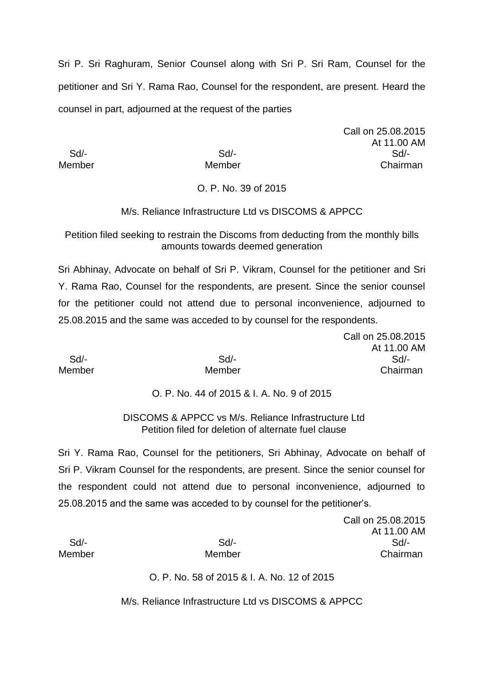Sri P. Sri Raghuram, Senior Counsel along with Sri P. Sri Ram, Counsel for the petitioner and Sri Y. Rama Rao, Counsel for the respondent, are present. Heard the counsel in part, adjourned at the request of the parties

Call on 25.08.2015 At 11.00 AM Sd/- Sd/- Sd/- Member Member Chairman

### O. P. No. 39 of 2015

#### M/s. Reliance Infrastructure Ltd vs DISCOMS & APPCC

Petition filed seeking to restrain the Discoms from deducting from the monthly bills amounts towards deemed generation

Sri Abhinay, Advocate on behalf of Sri P. Vikram, Counsel for the petitioner and Sri Y. Rama Rao, Counsel for the respondents, are present. Since the senior counsel for the petitioner could not attend due to personal inconvenience, adjourned to 25.08.2015 and the same was acceded to by counsel for the respondents.

|               |        | Call on 25.08.2015 |
|---------------|--------|--------------------|
|               |        | At 11.00 AM        |
| Sd/-          | $Sd$ - | Sd/-               |
| <b>Member</b> | Member | Chairman           |

#### O. P. No. 44 of 2015 & I. A. No. 9 of 2015

DISCOMS & APPCC vs M/s. Reliance Infrastructure Ltd Petition filed for deletion of alternate fuel clause

Sri Y. Rama Rao, Counsel for the petitioners, Sri Abhinay, Advocate on behalf of Sri P. Vikram Counsel for the respondents, are present. Since the senior counsel for the respondent could not attend due to personal inconvenience, adjourned to 25.08.2015 and the same was acceded to by counsel for the petitioner's.

|        |        | Call on 25.08.2015 |
|--------|--------|--------------------|
|        |        | At 11.00 AM        |
| Sd     | $Sd$ - | $Sd$ -             |
| Member | Member | Chairman           |
|        |        |                    |

O. P. No. 58 of 2015 & I. A. No. 12 of 2015

M/s. Reliance Infrastructure Ltd vs DISCOMS & APPCC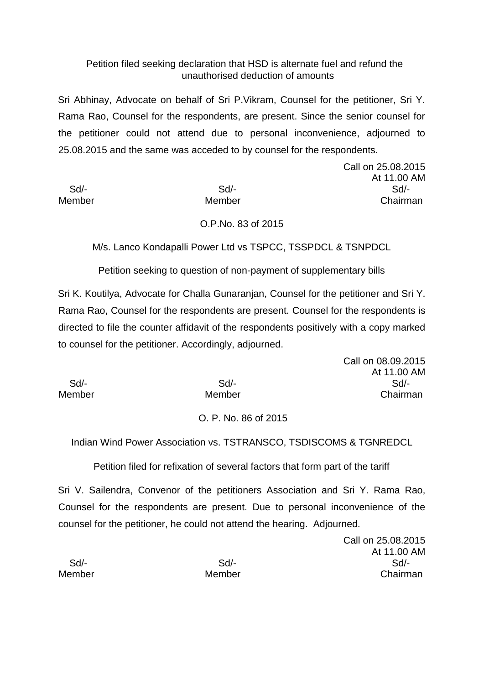### Petition filed seeking declaration that HSD is alternate fuel and refund the unauthorised deduction of amounts

Sri Abhinay, Advocate on behalf of Sri P.Vikram, Counsel for the petitioner, Sri Y. Rama Rao, Counsel for the respondents, are present. Since the senior counsel for the petitioner could not attend due to personal inconvenience, adjourned to 25.08.2015 and the same was acceded to by counsel for the respondents.

Call on 25.08.2015 At 11.00 AM Sd/- Sd/- Sd/- Member Member Member Chairman

### O.P.No. 83 of 2015

M/s. Lanco Kondapalli Power Ltd vs TSPCC, TSSPDCL & TSNPDCL

Petition seeking to question of non-payment of supplementary bills

Sri K. Koutilya, Advocate for Challa Gunaranjan, Counsel for the petitioner and Sri Y. Rama Rao, Counsel for the respondents are present. Counsel for the respondents is directed to file the counter affidavit of the respondents positively with a copy marked to counsel for the petitioner. Accordingly, adjourned.

|        | Call on 08.09.2015 |
|--------|--------------------|
|        | At 11.00 AM        |
| Sd     | Sd                 |
| Member | Chairman           |
|        |                    |

#### O. P. No. 86 of 2015

Indian Wind Power Association vs. TSTRANSCO, TSDISCOMS & TGNREDCL

Petition filed for refixation of several factors that form part of the tariff

Sri V. Sailendra, Convenor of the petitioners Association and Sri Y. Rama Rao, Counsel for the respondents are present. Due to personal inconvenience of the counsel for the petitioner, he could not attend the hearing. Adjourned.

Call on 25.08.2015 At 11.00 AM Sd/- Sd/- Sd/- Member Member Chairman